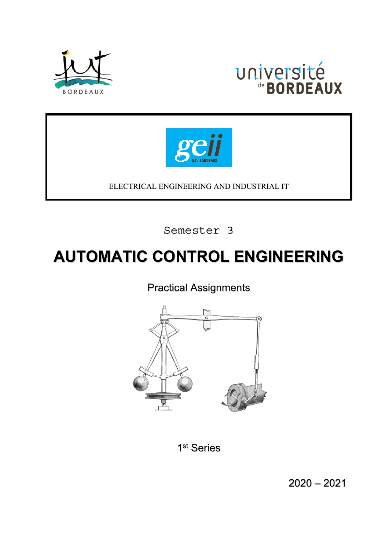





ELECTRICAL ENGINEERING AND INDUSTRIAL IT

Semester 3

# **AUTOMATIC CONTROL ENGINEERING**

Practical Assignments



1<sup>st</sup> Series

2020 – 2021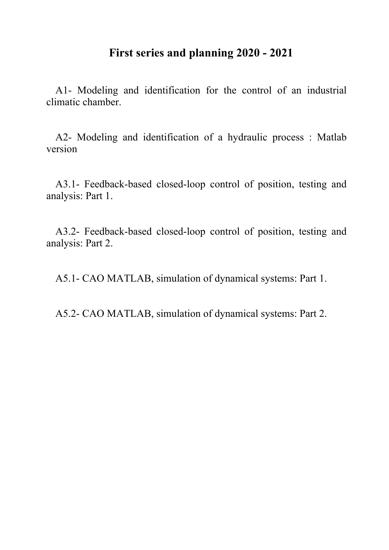## **First series and planning 2020 - 2021**

A1- Modeling and identification for the control of an industrial climatic chamber.

A2- Modeling and identification of a hydraulic process : Matlab version

A3.1- Feedback-based closed-loop control of position, testing and analysis: Part 1.

A3.2- Feedback-based closed-loop control of position, testing and analysis: Part 2.

A5.1- CAO MATLAB, simulation of dynamical systems: Part 1.

A5.2- CAO MATLAB, simulation of dynamical systems: Part 2.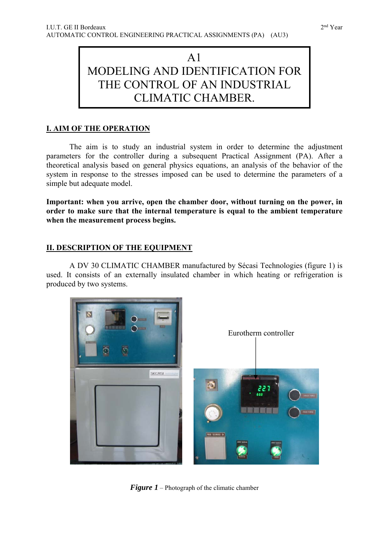## $A<sub>1</sub>$ MODELING AND IDENTIFICATION FOR THE CONTROL OF AN INDUSTRIAL CLIMATIC CHAMBER.

## **I. AIM OF THE OPERATION**

 The aim is to study an industrial system in order to determine the adjustment parameters for the controller during a subsequent Practical Assignment (PA). After a theoretical analysis based on general physics equations, an analysis of the behavior of the system in response to the stresses imposed can be used to determine the parameters of a simple but adequate model.

**Important: when you arrive, open the chamber door, without turning on the power, in order to make sure that the internal temperature is equal to the ambient temperature when the measurement process begins.**

## **II. DESCRIPTION OF THE EQUIPMENT**

A DV 30 CLIMATIC CHAMBER manufactured by Sécasi Technologies (figure 1) is used. It consists of an externally insulated chamber in which heating or refrigeration is produced by two systems.



*Figure 1* – Photograph of the climatic chamber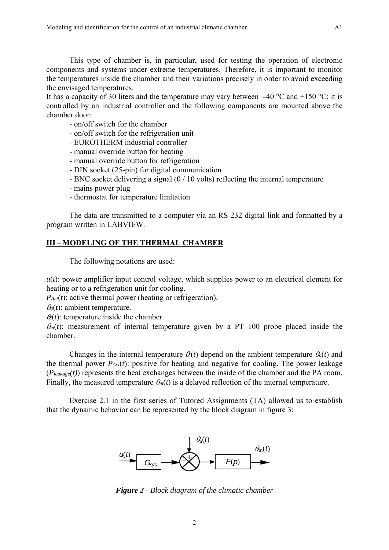This type of chamber is, in particular, used for testing the operation of electronic components and systems under extreme temperatures. Therefore, it is important to monitor the temperatures inside the chamber and their variations precisely in order to avoid exceeding the envisaged temperatures.

It has a capacity of 30 liters and the temperature may vary between  $-40$  °C and +150 °C; it is controlled by an industrial controller and the following components are mounted above the chamber door:

- on/off switch for the chamber
- on/off switch for the refrigeration unit
- EUROTHERM industrial controller
- manual override button for heating
- manual override button for refrigeration
- DIN socket (25-pin) for digital communication
- BNC socket delivering a signal (0 / 10 volts) reflecting the internal temperature
- mains power plug
- thermostat for temperature limitation

The data are transmitted to a computer via an RS 232 digital link and formatted by a program written in LABVIEW.

## **III** – **MODELING OF THE THERMAL CHAMBER**

The following notations are used:

*u*(*t*): power amplifier input control voltage, which supplies power to an electrical element for heating or to a refrigeration unit for cooling.

*P<sub>Act</sub>*(*t*): active thermal power (heating or refrigeration).

 $\theta_a(t)$ : ambient temperature.

 $\theta(t)$ : temperature inside the chamber.

 $\theta_m(t)$ : measurement of internal temperature given by a PT 100 probe placed inside the chamber.

Changes in the internal temperature  $\theta_i(t)$  depend on the ambient temperature  $\theta_a(t)$  and the thermal power  $P_{Act}(t)$ : positive for heating and negative for cooling. The power leakage (*Pleakage(t)*) represents the heat exchanges between the inside of the chamber and the PA room. Finally, the measured temperature  $\theta_m(t)$  is a delayed reflection of the internal temperature.

Exercise 2.1 in the first series of Tutored Assignments (TA) allowed us to establish that the dynamic behavior can be represented by the block diagram in figure 3:



*Figure 2 - Block diagram of the climatic chamber*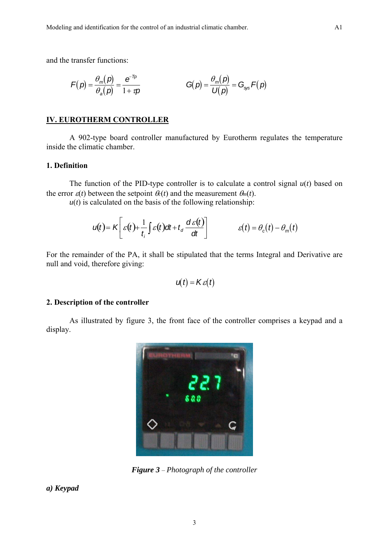and the transfer functions:

$$
F(p) = \frac{\theta_m(p)}{\theta_a(p)} = \frac{e^{-Tp}}{1 + \tau p} \qquad \qquad G(p) = \frac{\theta_m(p)}{U(p)} = G_{\text{sys}} F(p)
$$

## **IV. EUROTHERM CONTROLLER**

 A 902-type board controller manufactured by Eurotherm regulates the temperature inside the climatic chamber.

#### **1. Definition**

The function of the PID-type controller is to calculate a control signal  $u(t)$  based on the error  $\varepsilon(t)$  between the setpoint  $\theta_c(t)$  and the measurement  $\theta_m(t)$ .

 $u(t)$  is calculated on the basis of the following relationship:

$$
u(t) = K \left[ \varepsilon(t) + \frac{1}{t_i} \int \varepsilon(t) dt + t_d \frac{d\varepsilon(t)}{dt} \right] \qquad \qquad \varepsilon(t) = \theta_c(t) - \theta_m(t)
$$

For the remainder of the PA, it shall be stipulated that the terms Integral and Derivative are null and void, therefore giving:

$$
u(t) = K\varepsilon(t)
$$

#### **2. Description of the controller**

As illustrated by figure 3, the front face of the controller comprises a keypad and a display.



*Figure 3* – *Photograph of the controller* 

*a) Keypad*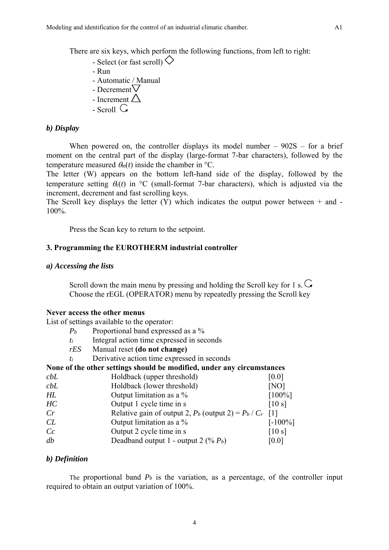There are six keys, which perform the following functions, from left to right:

- Select (or fast scroll)  $\Diamond$
- Run
- Automatic / Manual
- Decrement  $\vee$
- Increment  $\triangle$
- $-$  Scroll  $\mathbb G$

## *b) Display*

When powered on, the controller displays its model number  $-902S$  – for a brief moment on the central part of the display (large-format 7-bar characters), followed by the temperature measured  $\theta_m(t)$  inside the chamber in <sup>o</sup>C.

The letter (W) appears on the bottom left-hand side of the display, followed by the temperature setting  $\theta_0(t)$  in °C (small-format 7-bar characters), which is adjusted via the increment, decrement and fast scrolling keys.

The Scroll key displays the letter  $(Y)$  which indicates the output power between  $+$  and  $-$ 100%.

Press the Scan key to return to the setpoint.

## **3. Programming the EUROTHERM industrial controller**

#### *a) Accessing the lists*

Scroll down the main menu by pressing and holding the Scroll key for 1 s.  $\overline{G}$ Choose the rEGL (OPERATOR) menu by repeatedly pressing the Scroll key

## **Never access the other menus**

List of settings available to the operator:

- *Pb* Proportional band expressed as a %
- *ti* Integral action time expressed in seconds
- *rES* Manual reset **(do not change)**
- *ti* Derivative action time expressed in seconds

| None of the other settings should be modified, under any circumstances |                                                               |            |  |
|------------------------------------------------------------------------|---------------------------------------------------------------|------------|--|
| cbL                                                                    | Holdback (upper threshold)                                    | [0.0]      |  |
| cbL                                                                    | Holdback (lower threshold)                                    | [NO]       |  |
| HL                                                                     | Output limitation as a %                                      | $[100\%]$  |  |
| HC                                                                     | Output 1 cycle time in s                                      | [10 s]     |  |
| Cr                                                                     | Relative gain of output 2, $P_b$ (output 2) = $P_b / C_r$ [1] |            |  |
| CL                                                                     | Output limitation as a %                                      | $[-100\%]$ |  |
| Cc                                                                     | Output 2 cycle time in s                                      | [10 s]     |  |
| db                                                                     | Deadband output $1$ - output $2 \left( \% \, P_b \right)$     | [0.0]      |  |

#### *b) Definition*

The proportional band  $P_b$  is the variation, as a percentage, of the controller input required to obtain an output variation of 100%.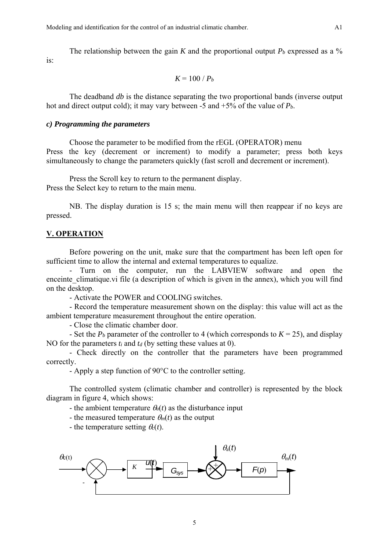The relationship between the gain K and the proportional output  $P_b$  expressed as a  $\%$ is:

$$
K=100/P_b
$$

 The deadband *db* is the distance separating the two proportional bands (inverse output hot and direct output cold); it may vary between -5 and +5% of the value of *Pb*.

#### *c) Programming the parameters*

 Choose the parameter to be modified from the rEGL (OPERATOR) menu Press the key (decrement or increment) to modify a parameter; press both keys simultaneously to change the parameters quickly (fast scroll and decrement or increment).

Press the Scroll key to return to the permanent display. Press the Select key to return to the main menu.

NB. The display duration is 15 s; the main menu will then reappear if no keys are pressed.

#### **V. OPERATION**

Before powering on the unit, make sure that the compartment has been left open for sufficient time to allow the internal and external temperatures to equalize.

Turn on the computer, run the LABVIEW software and open the enceinte climatique.vi file (a description of which is given in the annex), which you will find on the desktop.

- Activate the POWER and COOLING switches.

 - Record the temperature measurement shown on the display: this value will act as the ambient temperature measurement throughout the entire operation.

- Close the climatic chamber door.

- Set the  $P_b$  parameter of the controller to 4 (which corresponds to  $K = 25$ ), and display NO for the parameters  $t_i$  and  $t_d$  (by setting these values at 0).

 - Check directly on the controller that the parameters have been programmed correctly.

- Apply a step function of 90°C to the controller setting.

The controlled system (climatic chamber and controller) is represented by the block diagram in figure 4, which shows:

- the ambient temperature  $\theta_a(t)$  as the disturbance input

- the measured temperature  $\theta_m(t)$  as the output

- the temperature setting  $\theta_c(t)$ .

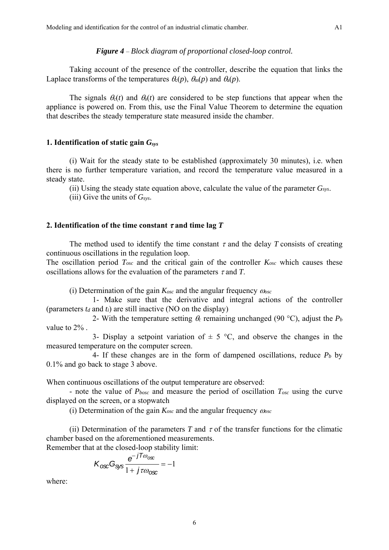#### *Figure 4* – *Block diagram of proportional closed-loop control.*

Taking account of the presence of the controller, describe the equation that links the Laplace transforms of the temperatures  $\theta_c(p)$ ,  $\theta_m(p)$  and  $\theta_a(p)$ .

The signals  $\theta_0(t)$  and  $\theta_0(t)$  are considered to be step functions that appear when the appliance is powered on. From this, use the Final Value Theorem to determine the equation that describes the steady temperature state measured inside the chamber.

## **1. Identification of static gain** *Gsys*

 (i) Wait for the steady state to be established (approximately 30 minutes), i.e. when there is no further temperature variation, and record the temperature value measured in a steady state.

(ii) Using the steady state equation above, calculate the value of the parameter  $G_{sys}$ .

(iii) Give the units of *Gsys*.

#### **2. Identification of the time constant**  $\tau$  **and time lag**  $T$

The method used to identify the time constant  $\tau$  and the delay *T* consists of creating continuous oscillations in the regulation loop.

The oscillation period *Tosc* and the critical gain of the controller *Kosc* which causes these oscillations allows for the evaluation of the parameters  $\tau$  and  $T$ .

(i) Determination of the gain  $K_{osc}$  and the angular frequency  $\omega_{osc}$ 

 1- Make sure that the derivative and integral actions of the controller (parameters  $t_d$  and  $t_i$ ) are still inactive (NO on the display)

2- With the temperature setting  $\theta_c$  remaining unchanged (90 °C), adjust the  $P_b$ value to 2% .

3- Display a setpoint variation of  $\pm$  5 °C, and observe the changes in the measured temperature on the computer screen.

4- If these changes are in the form of dampened oscillations, reduce  $P_b$  by 0.1% and go back to stage 3 above.

When continuous oscillations of the output temperature are observed:

- note the value of  $P_{\text{box}}$  and measure the period of oscillation  $T_{\text{osc}}$  using the curve displayed on the screen, or a stopwatch

(i) Determination of the gain *Kosc* and the angular frequency *osc*

(ii) Determination of the parameters  $T$  and  $\tau$  of the transfer functions for the climatic chamber based on the aforementioned measurements.

Remember that at the closed-loop stability limit:

$$
K_{\text{osc}}G_{\text{sys}}\frac{e^{-jT\omega_{\text{osc}}}}{1+j\tau\omega_{\text{osc}}}=-1
$$

where: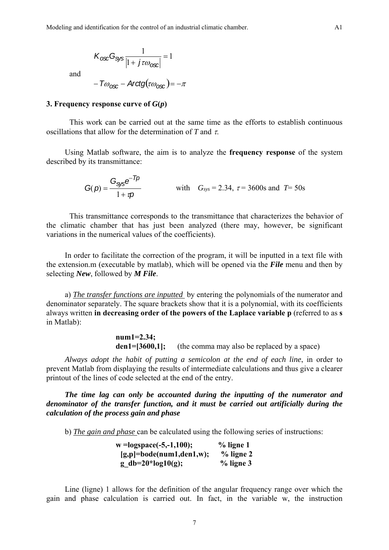$$
K_{\text{ox}}G_{\text{sys}}\frac{1}{|1+j\tau\omega_{\text{osc}}|}=1
$$

and

 $-T\omega_{\text{osc}}$  – Arctg $(\tau\omega_{\text{osc}})$  =  $-\pi$ 

#### **3. Frequency response curve of**  $G(p)$

 This work can be carried out at the same time as the efforts to establish continuous oscillations that allow for the determination of  $T$  and  $\tau$ .

Using Matlab software, the aim is to analyze the **frequency response** of the system described by its transmittance:

$$
G(p) = \frac{G_{\text{sys}}e^{-Tp}}{1 + \tau p}
$$
 with  $G_{\text{sys}} = 2.34$ ,  $\tau = 3600$ s and  $T = 50$ s

This transmittance corresponds to the transmittance that characterizes the behavior of the climatic chamber that has just been analyzed (there may, however, be significant variations in the numerical values of the coefficients).

In order to facilitate the correction of the program, it will be inputted in a text file with the extension.m (executable by matlab), which will be opened via the *File* menu and then by selecting *New*, followed by *M File*.

a) *The transfer functions are inputted* by entering the polynomials of the numerator and denominator separately. The square brackets show that it is a polynomial, with its coefficients always written **in decreasing order of the powers of the Laplace variable p** (referred to as **s** in Matlab):

> **num1=2.34;**  den1=[3600,1]; (the comma may also be replaced by a space)

*Always adopt the habit of putting a semicolon at the end of each line*, in order to prevent Matlab from displaying the results of intermediate calculations and thus give a clearer printout of the lines of code selected at the end of the entry.

*The time lag can only be accounted during the inputting of the numerator and denominator of the transfer function, and it must be carried out artificially during the calculation of the process gain and phase* 

b) *The gain and phase* can be calculated using the following series of instructions:

 **w =logspace(-5,-1,100); % ligne 1 [g,p]=bode(num1,den1,w); % ligne 2 g\_db=20\*log10(g); % ligne 3** 

Line (ligne) 1 allows for the definition of the angular frequency range over which the gain and phase calculation is carried out. In fact, in the variable w, the instruction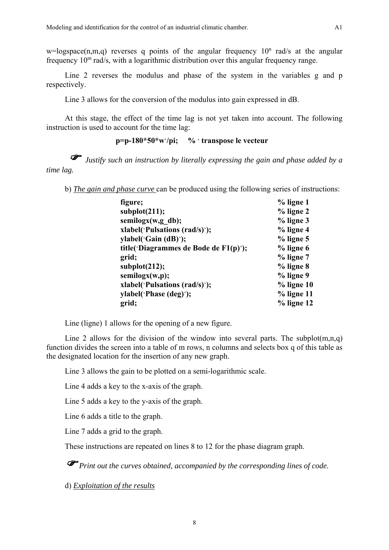$w = logspace(n,m,q)$  reverses q points of the angular frequency  $10<sup>n</sup>$  rad/s at the angular frequency 10m rad/s, with a logarithmic distribution over this angular frequency range.

Line 2 reverses the modulus and phase of the system in the variables g and p respectively.

Line 3 allows for the conversion of the modulus into gain expressed in dB.

At this stage, the effect of the time lag is not yet taken into account. The following instruction is used to account for the time lag:

## **p=p-180\*50\*w**'**/pi; %** ' **transpose le vecteur**

 *Justify such an instruction by literally expressing the gain and phase added by a time lag.* 

b) *The gain and phase curve* can be produced using the following series of instructions:

| figure;                               | $%$ ligne 1   |
|---------------------------------------|---------------|
| subplot(211);                         | $%$ ligne 2   |
| semilogx(w,g db);                     | $%$ ligne $3$ |
| xlabel('Pulsations (rad/s)');         | $%$ ligne 4   |
| ylabel('Gain (dB)');                  | $%$ ligne 5   |
| title('Diagrammes de Bode de F1(p)'); | $%$ ligne 6   |
| grid;                                 | $%$ ligne $7$ |
| subplot(212);                         | % ligne 8     |
| semilogx(w,p);                        | $%$ ligne $9$ |
| xlabel('Pulsations (rad/s)');         | $%$ ligne 10  |
| ylabel('Phase (deg)');                | $%$ ligne 11  |
| grid;                                 | $%$ ligne 12  |

Line (ligne) 1 allows for the opening of a new figure.

Line 2 allows for the division of the window into several parts. The subplot $(m,n,q)$ function divides the screen into a table of m rows, n columns and selects box q of this table as the designated location for the insertion of any new graph.

Line 3 allows the gain to be plotted on a semi-logarithmic scale.

Line 4 adds a key to the x-axis of the graph.

Line 5 adds a key to the y-axis of the graph.

Line 6 adds a title to the graph.

Line 7 adds a grid to the graph.

These instructions are repeated on lines 8 to 12 for the phase diagram graph.

 *Print out the curves obtained, accompanied by the corresponding lines of code.*

d) *Exploitation of the results*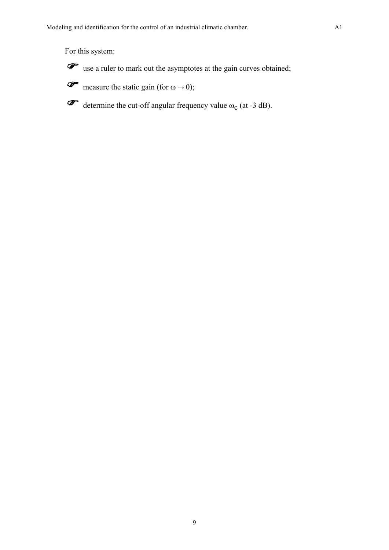For this system:



 $\mathscr{F}$  use a ruler to mark out the asymptotes at the gain curves obtained;

 $\mathscr{F}$  measure the static gain (for  $\omega \to 0$ );

 $\mathscr{F}$  determine the cut-off angular frequency value  $\omega_c$  (at -3 dB).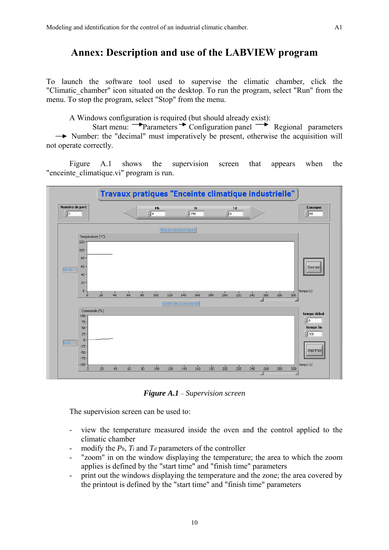## **Annex: Description and use of the LABVIEW program**

To launch the software tool used to supervise the climatic chamber, click the "Climatic chamber" icon situated on the desktop. To run the program, select "Run" from the menu. To stop the program, select "Stop" from the menu.

A Windows configuration is required (but should already exist):

Start menu: **P**arameters  $\rightarrow$  Configuration panel  $\rightarrow$  Regional parameters  $\rightarrow$  Number: the "decimal" must imperatively be present, otherwise the acquisition will not operate correctly.

 Figure A.1 shows the supervision screen that appears when the "enceinte climatique.vi" program is run.



*Figure A.1* – *Supervision screen* 

The supervision screen can be used to:

- view the temperature measured inside the oven and the control applied to the climatic chamber
- modify the  $P_b$ ,  $T_i$  and  $T_d$  parameters of the controller
- "zoom" in on the window displaying the temperature; the area to which the zoom applies is defined by the "start time" and "finish time" parameters
- print out the windows displaying the temperature and the zone; the area covered by the printout is defined by the "start time" and "finish time" parameters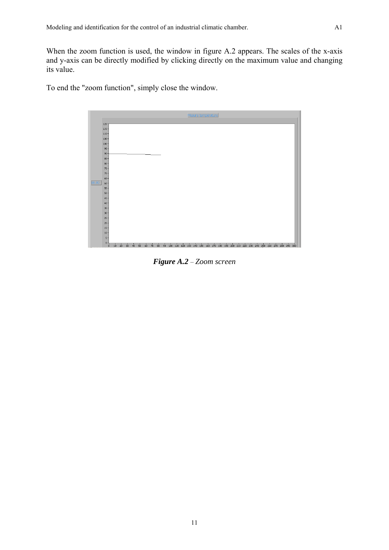When the zoom function is used, the window in figure A.2 appears. The scales of the x-axis and y-axis can be directly modified by clicking directly on the maximum value and changing its value.

To end the "zoom function", simply close the window.



*Figure A.2* – *Zoom screen*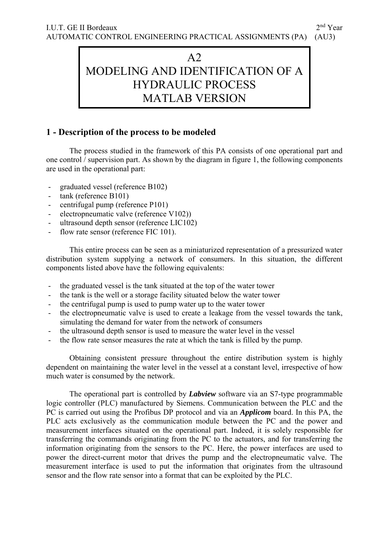## A2 MODELING AND IDENTIFICATION OF A HYDRAULIC PROCESS MATLAB VERSION

## **1 - Description of the process to be modeled**

 The process studied in the framework of this PA consists of one operational part and one control / supervision part. As shown by the diagram in figure 1, the following components are used in the operational part:

- graduated vessel (reference B102)
- tank (reference B101)
- centrifugal pump (reference P101)
- electropneumatic valve (reference V102))
- ultrasound depth sensor (reference LIC102)
- flow rate sensor (reference FIC 101).

This entire process can be seen as a miniaturized representation of a pressurized water distribution system supplying a network of consumers. In this situation, the different components listed above have the following equivalents:

- the graduated vessel is the tank situated at the top of the water tower
- the tank is the well or a storage facility situated below the water tower
- the centrifugal pump is used to pump water up to the water tower
- the electropneumatic valve is used to create a leakage from the vessel towards the tank, simulating the demand for water from the network of consumers
- the ultrasound depth sensor is used to measure the water level in the vessel
- the flow rate sensor measures the rate at which the tank is filled by the pump.

Obtaining consistent pressure throughout the entire distribution system is highly dependent on maintaining the water level in the vessel at a constant level, irrespective of how much water is consumed by the network.

The operational part is controlled by *Labview* software via an S7-type programmable logic controller (PLC) manufactured by Siemens. Communication between the PLC and the PC is carried out using the Profibus DP protocol and via an *Applicom* board. In this PA, the PLC acts exclusively as the communication module between the PC and the power and measurement interfaces situated on the operational part. Indeed, it is solely responsible for transferring the commands originating from the PC to the actuators, and for transferring the information originating from the sensors to the PC. Here, the power interfaces are used to power the direct-current motor that drives the pump and the electropneumatic valve. The measurement interface is used to put the information that originates from the ultrasound sensor and the flow rate sensor into a format that can be exploited by the PLC.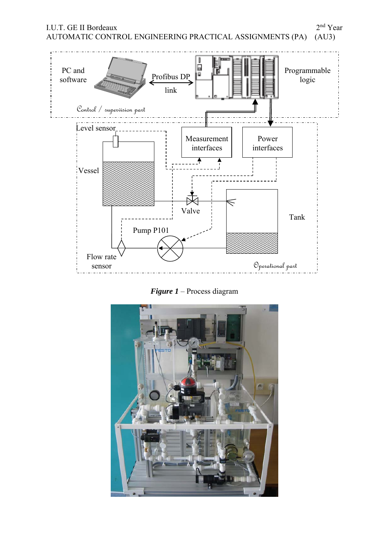

*Figure 1* – Process diagram

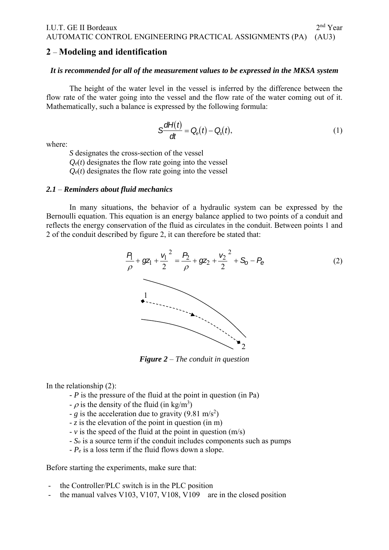## **2** – **Modeling and identification**

## *It is recommended for all of the measurement values to be expressed in the MKSA system*

The height of the water level in the vessel is inferred by the difference between the flow rate of the water going into the vessel and the flow rate of the water coming out of it. Mathematically, such a balance is expressed by the following formula:

$$
S\frac{dH(t)}{dt} = Q_{\rm e}(t) - Q_{\rm s}(t),
$$
\n(1)

where:

*S* designates the cross-section of the vessel

 $Q_e(t)$  designates the flow rate going into the vessel

 $Q_e(t)$  designates the flow rate going into the vessel

## *2.1* – *Reminders about fluid mechanics*

 In many situations, the behavior of a hydraulic system can be expressed by the Bernoulli equation. This equation is an energy balance applied to two points of a conduit and reflects the energy conservation of the fluid as circulates in the conduit. Between points 1 and 2 of the conduit described by figure 2, it can therefore be stated that:



*Figure 2* – *The conduit in question* 

In the relationship (2):

- *P* is the pressure of the fluid at the point in question (in Pa)
- $\rho$  is the density of the fluid (in kg/m<sup>3</sup>)
- *g* is the acceleration due to gravity  $(9.81 \text{ m/s}^2)$
- *z* is the elevation of the point in question (in m)
- *v* is the speed of the fluid at the point in question (m/s)
- *So* is a source term if the conduit includes components such as pumps
- *Pe* is a loss term if the fluid flows down a slope.

Before starting the experiments, make sure that:

- the Controller/PLC switch is in the PLC position
- the manual valves V103, V107, V108, V109 are in the closed position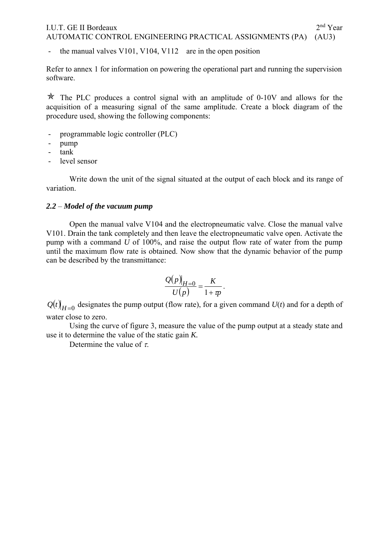## I.U.T. GE II Bordeaux 2<sup>nd</sup> Year AUTOMATIC CONTROL ENGINEERING PRACTICAL ASSIGNMENTS (PA) (AU3)

the manual valves V101, V104, V112 are in the open position

Refer to annex 1 for information on powering the operational part and running the supervision software.

 $\star$  The PLC produces a control signal with an amplitude of 0-10V and allows for the acquisition of a measuring signal of the same amplitude. Create a block diagram of the procedure used, showing the following components:

- programmable logic controller (PLC)
- pump
- tank
- level sensor

Write down the unit of the signal situated at the output of each block and its range of variation.

## *2.2* – *Model of the vacuum pump*

 Open the manual valve V104 and the electropneumatic valve. Close the manual valve V101. Drain the tank completely and then leave the electropneumatic valve open. Activate the pump with a command *U* of 100%, and raise the output flow rate of water from the pump until the maximum flow rate is obtained. Now show that the dynamic behavior of the pump can be described by the transmittance:

$$
\frac{Q(p)|_{H=0}}{U(p)} = \frac{K}{1+p}.
$$

 $Q(t)|_{H=0}$  designates the pump output (flow rate), for a given command  $U(t)$  and for a depth of water close to zero.

 Using the curve of figure 3, measure the value of the pump output at a steady state and use it to determine the value of the static gain *K.*

Determine the value of  $\tau$ .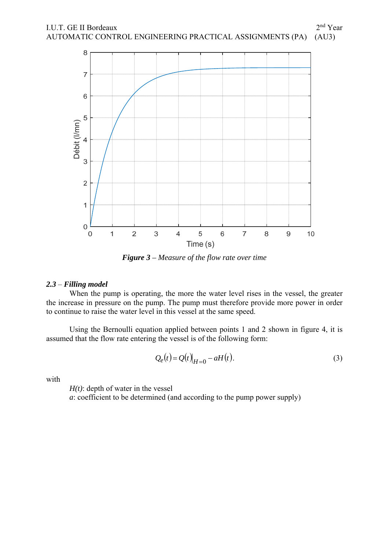

*Figure 3 – Measure of the flow rate over time* 

## *2.3* – *Filling model*

 When the pump is operating, the more the water level rises in the vessel, the greater the increase in pressure on the pump. The pump must therefore provide more power in order to continue to raise the water level in this vessel at the same speed.

Using the Bernoulli equation applied between points 1 and 2 shown in figure 4, it is assumed that the flow rate entering the vessel is of the following form:

$$
Q_e(t) = Q(t)|_{H=0} - aH(t).
$$
\n(3)

with

*H(t)*: depth of water in the vessel *a*: coefficient to be determined (and according to the pump power supply)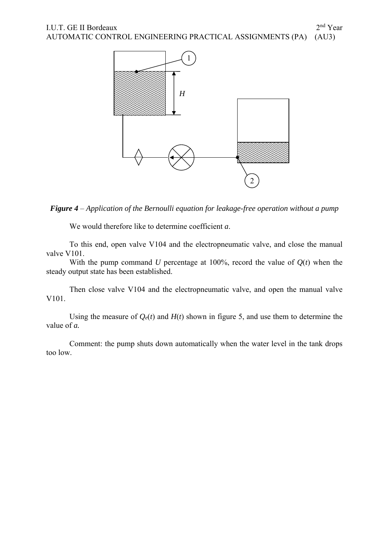

*Figure 4* – *Application of the Bernoulli equation for leakage-free operation without a pump* 

We would therefore like to determine coefficient *a*.

To this end, open valve V104 and the electropneumatic valve, and close the manual valve V101.

With the pump command *U* percentage at 100%, record the value of  $Q(t)$  when the steady output state has been established.

Then close valve V104 and the electropneumatic valve, and open the manual valve V101.

Using the measure of  $Q_e(t)$  and  $H(t)$  shown in figure 5, and use them to determine the value of *a.* 

Comment: the pump shuts down automatically when the water level in the tank drops too low.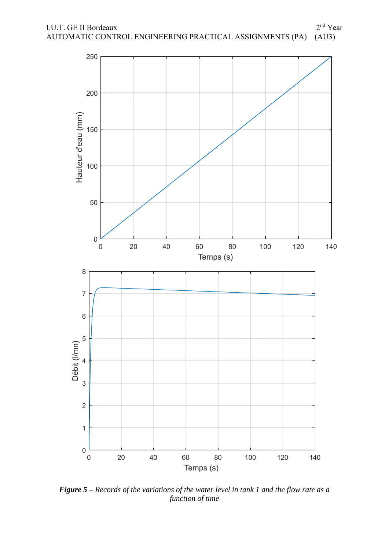

*Figure 5 – Records of the variations of the water level in tank 1 and the flow rate as a function of time*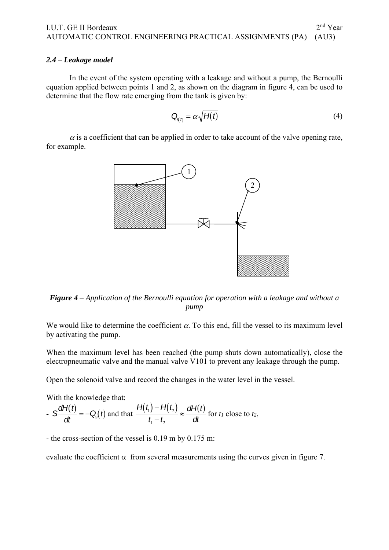## *2.4* – *Leakage model*

 In the event of the system operating with a leakage and without a pump, the Bernoulli equation applied between points 1 and 2, as shown on the diagram in figure 4, can be used to determine that the flow rate emerging from the tank is given by:

$$
Q_{\rm s(t)} = \alpha \sqrt{H(t)}\tag{4}
$$

 $\alpha$  is a coefficient that can be applied in order to take account of the valve opening rate, for example.



*Figure 4* – *Application of the Bernoulli equation for operation with a leakage and without a pump* 

We would like to determine the coefficient  $\alpha$ . To this end, fill the vessel to its maximum level by activating the pump.

When the maximum level has been reached (the pump shuts down automatically), close the electropneumatic valve and the manual valve  $\overline{V101}$  to prevent any leakage through the pump.

Open the solenoid valve and record the changes in the water level in the vessel.

With the knowledge that:

$$
S\frac{dH(t)}{dt} = -Q_s(t) \text{ and that } \frac{H(t_1) - H(t_2)}{t_1 - t_2} \approx \frac{dH(t)}{dt} \text{ for } t_1 \text{ close to } t_2,
$$

- the cross-section of the vessel is 0.19 m by 0.175 m:

evaluate the coefficient  $\alpha$  from several measurements using the curves given in figure 7.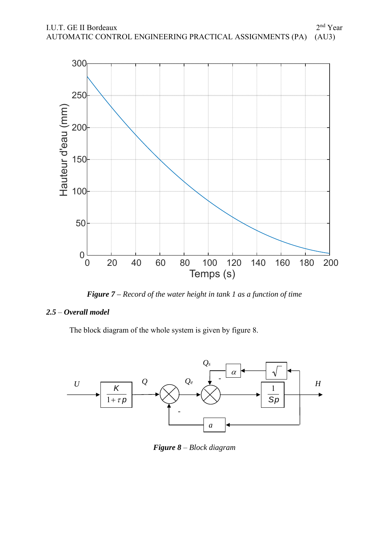

*Figure 7 – Record of the water height in tank 1 as a function of time* 

## *2.5* – *Overall model*

The block diagram of the whole system is given by figure 8.



*Figure 8* – *Block diagram*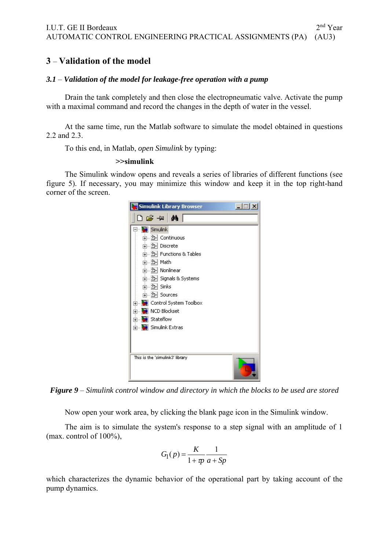## **3** – **Validation of the model**

## *3.1* – *Validation of the model for leakage-free operation with a pump*

Drain the tank completely and then close the electropneumatic valve. Activate the pump with a maximal command and record the changes in the depth of water in the vessel.

At the same time, run the Matlab software to simulate the model obtained in questions 2.2 and 2.3.

To this end, in Matlab, *open Simulink* by typing:

## **>>simulink**

The Simulink window opens and reveals a series of libraries of different functions (see figure 5). If necessary, you may minimize this window and keep it in the top right-hand corner of the screen.



*Figure 9* – *Simulink control window and directory in which the blocks to be used are stored* 

Now open your work area, by clicking the blank page icon in the Simulink window.

The aim is to simulate the system's response to a step signal with an amplitude of 1 (max. control of 100%),

$$
G_1(p) = \frac{K}{1 + \pi} \frac{1}{a + Sp}
$$

which characterizes the dynamic behavior of the operational part by taking account of the pump dynamics.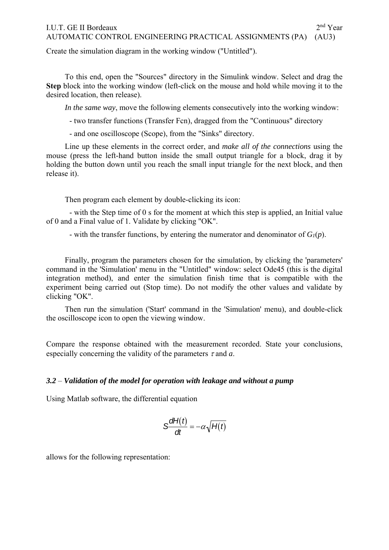## I.U.T. GE II Bordeaux 2<sup>nd</sup> Year AUTOMATIC CONTROL ENGINEERING PRACTICAL ASSIGNMENTS (PA) (AU3)

Create the simulation diagram in the working window ("Untitled").

To this end, open the "Sources" directory in the Simulink window. Select and drag the **Step** block into the working window (left-click on the mouse and hold while moving it to the desired location, then release).

*In the same way*, move the following elements consecutively into the working window:

- two transfer functions (Transfer Fcn), dragged from the "Continuous" directory

- and one oscilloscope (Scope), from the "Sinks" directory.

Line up these elements in the correct order, and *make all of the connections* using the mouse (press the left-hand button inside the small output triangle for a block, drag it by holding the button down until you reach the small input triangle for the next block, and then release it).

Then program each element by double-clicking its icon:

 - with the Step time of 0 s for the moment at which this step is applied, an Initial value of 0 and a Final value of 1. Validate by clicking "OK".

- with the transfer functions, by entering the numerator and denominator of  $G_l(p)$ .

Finally, program the parameters chosen for the simulation, by clicking the 'parameters' command in the 'Simulation' menu in the "Untitled" window: select Ode45 (this is the digital integration method), and enter the simulation finish time that is compatible with the experiment being carried out (Stop time). Do not modify the other values and validate by clicking "OK".

Then run the simulation ('Start' command in the 'Simulation' menu), and double-click the oscilloscope icon to open the viewing window.

Compare the response obtained with the measurement recorded. State your conclusions, especially concerning the validity of the parameters  $\tau$  and  $\alpha$ .

## *3.2* – *Validation of the model for operation with leakage and without a pump*

Using Matlab software, the differential equation

$$
S\frac{dH(t)}{dt}=-\alpha\sqrt{H(t)}
$$

allows for the following representation: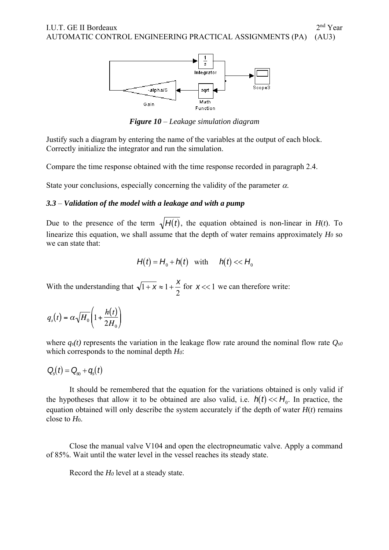

*Figure 10* – *Leakage simulation diagram* 

Justify such a diagram by entering the name of the variables at the output of each block. Correctly initialize the integrator and run the simulation.

Compare the time response obtained with the time response recorded in paragraph 2.4.

State your conclusions, especially concerning the validity of the parameter  $\alpha$ .

### *3.3* – *Validation of the model with a leakage and with a pump*

Due to the presence of the term  $\sqrt{H(t)}$ , the equation obtained is non-linear in  $H(t)$ . To linearize this equation, we shall assume that the depth of water remains approximately  $H_0$  so we can state that:

$$
H(t) = H_0 + h(t) \quad \text{with} \qquad h(t) \ll H_0
$$

With the understanding that  $\sqrt{1 + x} \approx 1 + \frac{x}{2}$  for  $x \ll 1$  we can therefore write:

$$
q_s(t) = \alpha \sqrt{H_0} \left( 1 + \frac{h(t)}{2H_0} \right)
$$

where  $q_s(t)$  represents the variation in the leakage flow rate around the nominal flow rate  $Q_{s0}$ which corresponds to the nominal depth *H0*:

$$
Q_{s}(t)=Q_{s0}+q_{s}(t)
$$

It should be remembered that the equation for the variations obtained is only valid if the hypotheses that allow it to be obtained are also valid, i.e.  $h(t) \ll H_0$ . In practice, the equation obtained will only describe the system accurately if the depth of water  $H(t)$  remains close to *H*0.

Close the manual valve V104 and open the electropneumatic valve. Apply a command of 85%. Wait until the water level in the vessel reaches its steady state.

Record the *H0* level at a steady state.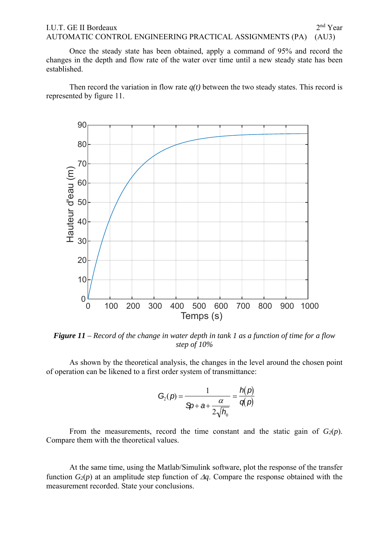## I.U.T. GE II Bordeaux 2<sup>nd</sup> Year AUTOMATIC CONTROL ENGINEERING PRACTICAL ASSIGNMENTS (PA) (AU3)

Once the steady state has been obtained, apply a command of 95% and record the changes in the depth and flow rate of the water over time until a new steady state has been established.

Then record the variation in flow rate  $q(t)$  between the two steady states. This record is represented by figure 11.



*Figure 11 – Record of the change in water depth in tank 1 as a function of time for a flow step of 10%* 

As shown by the theoretical analysis, the changes in the level around the chosen point of operation can be likened to a first order system of transmittance:

$$
G_2(p) = \frac{1}{\mathfrak{D} + a + \frac{\alpha}{2\sqrt{h_0}}} = \frac{h(p)}{q(p)}
$$

From the measurements, record the time constant and the static gain of  $G_2(p)$ . Compare them with the theoretical values.

At the same time, using the Matlab/Simulink software, plot the response of the transfer function  $G_2(p)$  at an amplitude step function of  $\Delta q$ . Compare the response obtained with the measurement recorded. State your conclusions.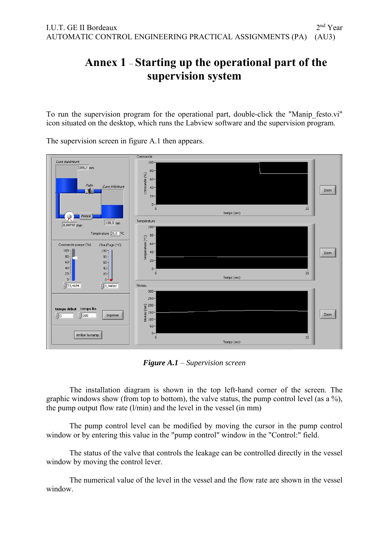## **Annex 1** – **Starting up the operational part of the supervision system**

To run the supervision program for the operational part, double-click the "Manip\_festo.vi" icon situated on the desktop, which runs the Labview software and the supervision program.

The supervision screen in figure A.1 then appears.



*Figure A.1* – *Supervision screen* 

The installation diagram is shown in the top left-hand corner of the screen. The graphic windows show (from top to bottom), the valve status, the pump control level (as a %), the pump output flow rate  $(l/min)$  and the level in the vessel (in mm)

The pump control level can be modified by moving the cursor in the pump control window or by entering this value in the "pump control" window in the "Control:" field.

The status of the valve that controls the leakage can be controlled directly in the vessel window by moving the control lever.

The numerical value of the level in the vessel and the flow rate are shown in the vessel window.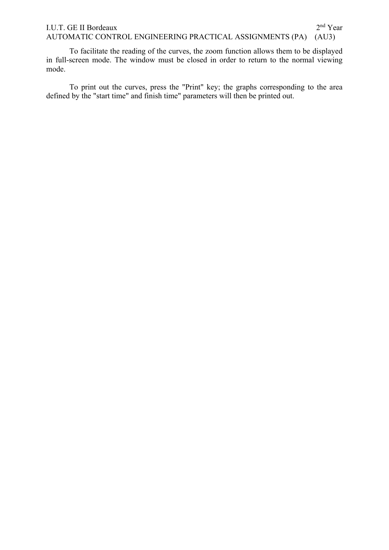## I.U.T. GE II Bordeaux 2<sup>nd</sup> Year AUTOMATIC CONTROL ENGINEERING PRACTICAL ASSIGNMENTS (PA) (AU3)

To facilitate the reading of the curves, the zoom function allows them to be displayed in full-screen mode. The window must be closed in order to return to the normal viewing mode.

To print out the curves, press the "Print" key; the graphs corresponding to the area defined by the "start time" and finish time" parameters will then be printed out.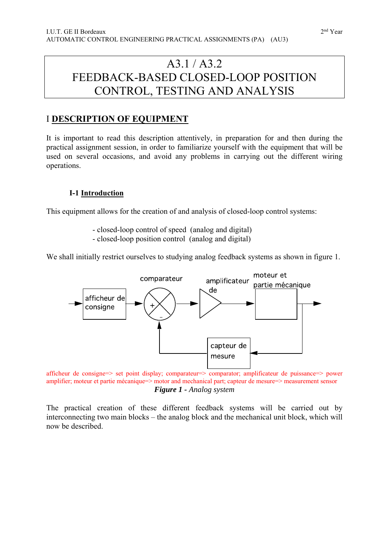## A3.1 / A3.2 FEEDBACK-BASED CLOSED-LOOP POSITION CONTROL, TESTING AND ANALYSIS

## I **DESCRIPTION OF EQUIPMENT**

It is important to read this description attentively, in preparation for and then during the practical assignment session, in order to familiarize yourself with the equipment that will be used on several occasions, and avoid any problems in carrying out the different wiring operations.

## **I-1 Introduction**

This equipment allows for the creation of and analysis of closed-loop control systems:

- closed-loop control of speed (analog and digital)
- closed-loop position control (analog and digital)

We shall initially restrict ourselves to studying analog feedback systems as shown in figure 1.



afficheur de consigne=> set point display; comparateur=> comparator; amplificateur de puissance=> power amplifier; moteur et partie mécanique=> motor and mechanical part; capteur de mesure=> measurement sensor *Figure 1 - Analog system*

The practical creation of these different feedback systems will be carried out by interconnecting two main blocks – the analog block and the mechanical unit block, which will now be described.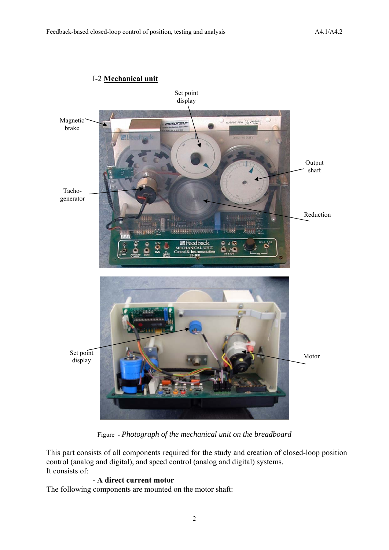

## I-2 **Mechanical unit**

Figure - *Photograph of the mechanical unit on the breadboard*

This part consists of all components required for the study and creation of closed-loop position control (analog and digital), and speed control (analog and digital) systems. It consists of:

## - **A direct current motor**

The following components are mounted on the motor shaft: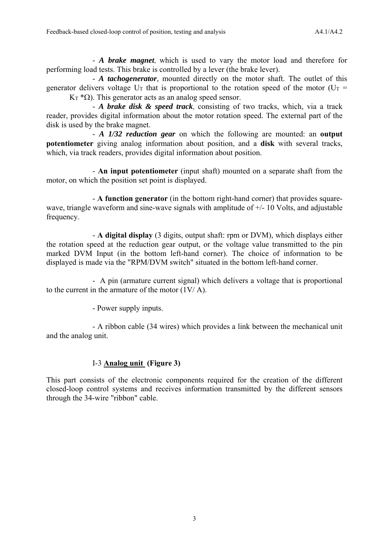- *A brake magnet*, which is used to vary the motor load and therefore for performing load tests. This brake is controlled by a lever (the brake lever).

 - *A tachogenerator*, mounted directly on the motor shaft. The outlet of this generator delivers voltage  $U_T$  that is proportional to the rotation speed of the motor ( $U_T$  =  $K_T$  \* $\Omega$ ). This generator acts as an analog speed sensor.

 - *A brake disk & speed track*, consisting of two tracks, which, via a track reader, provides digital information about the motor rotation speed. The external part of the disk is used by the brake magnet.

 - *A 1/32 reduction gear* on which the following are mounted: an **output potentiometer** giving analog information about position, and a **disk** with several tracks, which, via track readers, provides digital information about position.

 - **An input potentiometer** (input shaft) mounted on a separate shaft from the motor, on which the position set point is displayed.

- **A function generator** (in the bottom right-hand corner) that provides squarewave, triangle waveform and sine-wave signals with amplitude of  $+/-10$  Volts, and adjustable frequency.

 - **A digital display** (3 digits, output shaft: rpm or DVM), which displays either the rotation speed at the reduction gear output, or the voltage value transmitted to the pin marked DVM Input (in the bottom left-hand corner). The choice of information to be displayed is made via the "RPM/DVM switch" situated in the bottom left-hand corner.

 - A pin (armature current signal) which delivers a voltage that is proportional to the current in the armature of the motor  $(1V/A)$ .

- Power supply inputs.

 - A ribbon cable (34 wires) which provides a link between the mechanical unit and the analog unit.

## I-3 **Analog unit (Figure 3)**

This part consists of the electronic components required for the creation of the different closed-loop control systems and receives information transmitted by the different sensors through the 34-wire "ribbon" cable.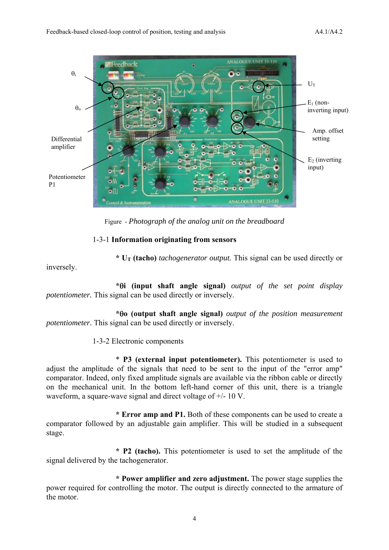

Figure - *Photograph of the analog unit on the breadboard*

## 1-3-1 **Information originating from sensors**

 **\* UT (tacho)** *tachogenerator output.* This signal can be used directly or

inversely.

 **\*i (input shaft angle signal)** *output of the set point display potentiometer.* This signal can be used directly or inversely.

 **\*o (output shaft angle signal)** *output of the position measurement potentiometer.* This signal can be used directly or inversely.

1-3-2 Electronic components

 \* **P3 (external input potentiometer).** This potentiometer is used to adjust the amplitude of the signals that need to be sent to the input of the "error amp" comparator. Indeed, only fixed amplitude signals are available via the ribbon cable or directly on the mechanical unit. In the bottom left-hand corner of this unit, there is a triangle waveform, a square-wave signal and direct voltage of +/- 10 V.

 **\* Error amp and P1.** Both of these components can be used to create a comparator followed by an adjustable gain amplifier. This will be studied in a subsequent stage.

 **\* P2 (tacho).** This potentiometer is used to set the amplitude of the signal delivered by the tachogenerator.

 **\* Power amplifier and zero adjustment.** The power stage supplies the power required for controlling the motor. The output is directly connected to the armature of the motor.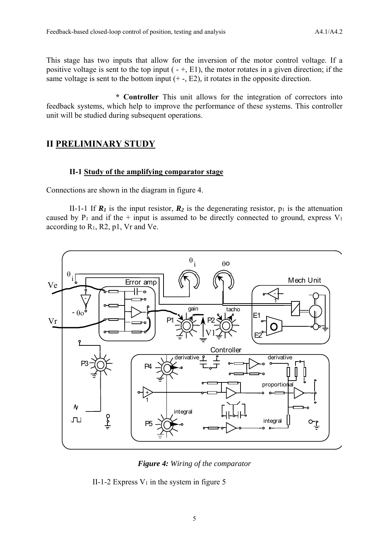This stage has two inputs that allow for the inversion of the motor control voltage. If a positive voltage is sent to the top input  $(-+, E1)$ , the motor rotates in a given direction; if the same voltage is sent to the bottom input  $(+, E2)$ , it rotates in the opposite direction.

 **\* Controller** This unit allows for the integration of correctors into feedback systems, which help to improve the performance of these systems. This controller unit will be studied during subsequent operations.

## **II PRELIMINARY STUDY**

### **II-1 Study of the amplifying comparator stage**

Connections are shown in the diagram in figure 4.

II-1-1 If  $\mathbb{R}_l$  is the input resistor,  $\mathbb{R}_2$  is the degenerating resistor,  $p_1$  is the attenuation caused by  $P_1$  and if the + input is assumed to be directly connected to ground, express  $V_1$ according to R1, R2, p1, Vr and Ve.



*Figure 4: Wiring of the comparator* 

II-1-2 Express  $V_1$  in the system in figure 5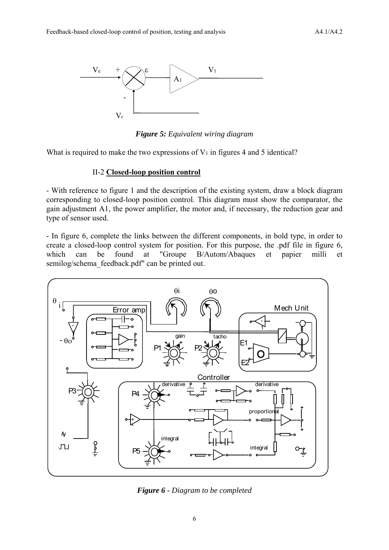

*Figure 5: Equivalent wiring diagram* 

What is required to make the two expressions of  $V_1$  in figures 4 and 5 identical?

#### II-2 **Closed-loop position control**

- With reference to figure 1 and the description of the existing system, draw a block diagram corresponding to closed-loop position control. This diagram must show the comparator, the gain adjustment A1, the power amplifier, the motor and, if necessary, the reduction gear and type of sensor used.

- In figure 6, complete the links between the different components, in bold type, in order to create a closed-loop control system for position. For this purpose, the .pdf file in figure 6, which can be found at "Groupe B/Autom/Abaques et papier milli et semilog/schema\_feedback.pdf" can be printed out.



*Figure 6 - Diagram to be completed*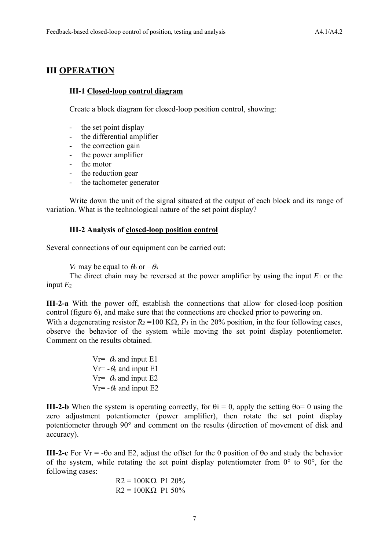## **III OPERATION**

## **III-1 Closed-loop control diagram**

Create a block diagram for closed-loop position control, showing:

- the set point display
- the differential amplifier
- the correction gain
- the power amplifier
- the motor
- the reduction gear
- the tachometer generator

Write down the unit of the signal situated at the output of each block and its range of variation. What is the technological nature of the set point display?

## **III-2 Analysis of closed-loop position control**

Several connections of our equipment can be carried out:

*Vr* may be equal to  $\theta_0$  or  $-\theta_0$ 

The direct chain may be reversed at the power amplifier by using the input  $E_1$  or the input  $E_2$ 

**III-2-a** With the power off, establish the connections that allow for closed-loop position control (figure 6), and make sure that the connections are checked prior to powering on. With a degenerating resistor  $R_2 = 100 \text{ K}\Omega$ ,  $P_1$  in the 20% position, in the four following cases, observe the behavior of the system while moving the set point display potentiometer. Comment on the results obtained.

> $V = \theta_0$  and input E1 Vr=  $-\theta_0$  and input E1 Vr=  $\theta_0$  and input E2  $V = -\theta_0$  and input E2

**III-2-b** When the system is operating correctly, for  $\theta$ i = 0, apply the setting  $\theta$ o= 0 using the zero adjustment potentiometer (power amplifier), then rotate the set point display potentiometer through 90° and comment on the results (direction of movement of disk and accuracy).

**III-2-c** For Vr = -00 and E2, adjust the offset for the 0 position of 00 and study the behavior of the system, while rotating the set point display potentiometer from  $0^{\circ}$  to  $90^{\circ}$ , for the following cases:

$$
R2 = 100KΩ P1 20%
$$
  

$$
R2 = 100KΩ P1 50%
$$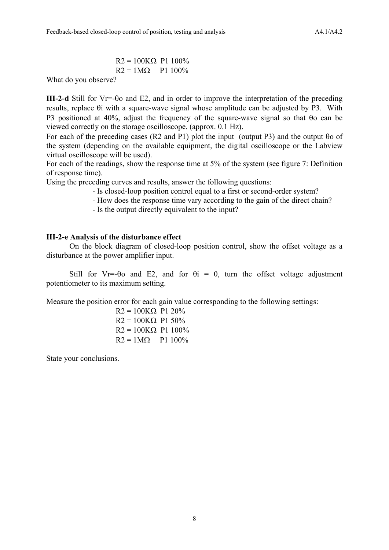$R2 = 100K\Omega$  P1 100%  $R2 = 1M\Omega$  P1 100%

What do you observe?

**III-2-d** Still for Vr=- $\theta$ o and E2, and in order to improve the interpretation of the preceding results, replace  $\theta$  i with a square-wave signal whose amplitude can be adjusted by P3. With P3 positioned at 40%, adjust the frequency of the square-wave signal so that  $\theta$ o can be viewed correctly on the storage oscilloscope. (approx. 0.1 Hz).

For each of the preceding cases (R2 and P1) plot the input (output P3) and the output  $\theta$ o of the system (depending on the available equipment, the digital oscilloscope or the Labview virtual oscilloscope will be used).

For each of the readings, show the response time at 5% of the system (see figure 7: Definition of response time).

Using the preceding curves and results, answer the following questions:

- Is closed-loop position control equal to a first or second-order system?
- How does the response time vary according to the gain of the direct chain?

- Is the output directly equivalent to the input?

### **III-2-e Analysis of the disturbance effect**

 On the block diagram of closed-loop position control, show the offset voltage as a disturbance at the power amplifier input.

Still for Vr=- $\theta$ o and E2, and for  $\theta$ i = 0, turn the offset voltage adjustment potentiometer to its maximum setting.

Measure the position error for each gain value corresponding to the following settings:

 $R2 = 100K\Omega$  P1 20%  $R2 = 100K\Omega$  P1 50%  $R2 = 100K\Omega$  P1 100%  $R2 = 1M\Omega$  P1 100%

State your conclusions.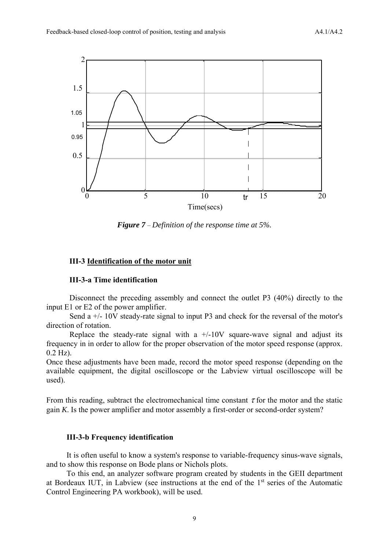

*Figure 7* – *Definition of the response time at 5%.*

## **III-3 Identification of the motor unit**

## **III-3-a Time identification**

Disconnect the preceding assembly and connect the outlet P3 (40%) directly to the input E1 or E2 of the power amplifier.

Send a  $+/- 10V$  steady-rate signal to input P3 and check for the reversal of the motor's direction of rotation.

Replace the steady-rate signal with a  $+/-10V$  square-wave signal and adjust its frequency in in order to allow for the proper observation of the motor speed response (approx. 0.2 Hz).

Once these adjustments have been made, record the motor speed response (depending on the available equipment, the digital oscilloscope or the Labview virtual oscilloscope will be used).

From this reading, subtract the electromechanical time constant  $\tau$  for the motor and the static gain *K*. Is the power amplifier and motor assembly a first-order or second-order system?

### **III-3-b Frequency identification**

It is often useful to know a system's response to variable-frequency sinus-wave signals, and to show this response on Bode plans or Nichols plots.

To this end, an analyzer software program created by students in the GEII department at Bordeaux IUT, in Labview (see instructions at the end of the 1st series of the Automatic Control Engineering PA workbook), will be used.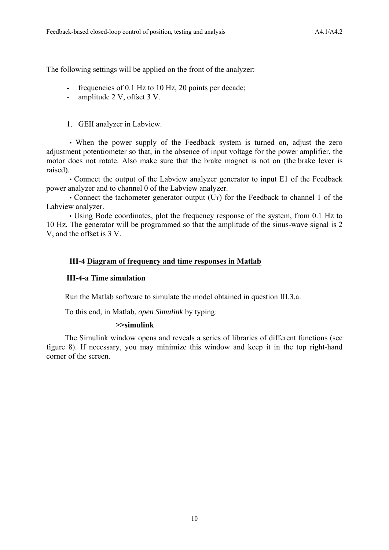The following settings will be applied on the front of the analyzer:

- frequencies of 0.1 Hz to 10 Hz, 20 points per decade;
- amplitude 2 V, offset 3 V.

## 1. GEII analyzer in Labview.

• When the power supply of the Feedback system is turned on, adjust the zero adjustment potentiometer so that, in the absence of input voltage for the power amplifier, the motor does not rotate. Also make sure that the brake magnet is not on (the brake lever is raised).

• Connect the output of the Labview analyzer generator to input E1 of the Feedback power analyzer and to channel 0 of the Labview analyzer.

• Connect the tachometer generator output  $(U_T)$  for the Feedback to channel 1 of the Labview analyzer.

• Using Bode coordinates, plot the frequency response of the system, from 0.1 Hz to 10 Hz. The generator will be programmed so that the amplitude of the sinus-wave signal is 2 V, and the offset is 3 V.

## **III-4 Diagram of frequency and time responses in Matlab**

## **III-4-a Time simulation**

Run the Matlab software to simulate the model obtained in question III.3.a.

To this end, in Matlab, *open Simulink* by typing:

## **>>simulink**

The Simulink window opens and reveals a series of libraries of different functions (see figure 8). If necessary, you may minimize this window and keep it in the top right-hand corner of the screen.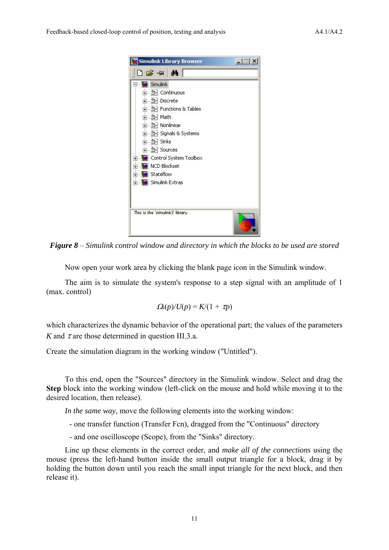

*Figure 8* – *Simulink control window and directory in which the blocks to be used are stored* 

Now open your work area by clicking the blank page icon in the Simulink window.

The aim is to simulate the system's response to a step signal with an amplitude of 1 (max. control)

$$
\Omega_{\rm s}(p)/U(p) = K/(1+\tau p)
$$

which characterizes the dynamic behavior of the operational part; the values of the parameters *K* and  $\tau$  are those determined in question III.3.a.

Create the simulation diagram in the working window ("Untitled").

To this end, open the "Sources" directory in the Simulink window. Select and drag the **Step** block into the working window (left-click on the mouse and hold while moving it to the desired location, then release).

*In the same way*, move the following elements into the working window:

- one transfer function (Transfer Fcn), dragged from the "Continuous" directory

- and one oscilloscope (Scope), from the "Sinks" directory.

Line up these elements in the correct order, and *make all of the connections* using the mouse (press the left-hand button inside the small output triangle for a block, drag it by holding the button down until you reach the small input triangle for the next block, and then release it).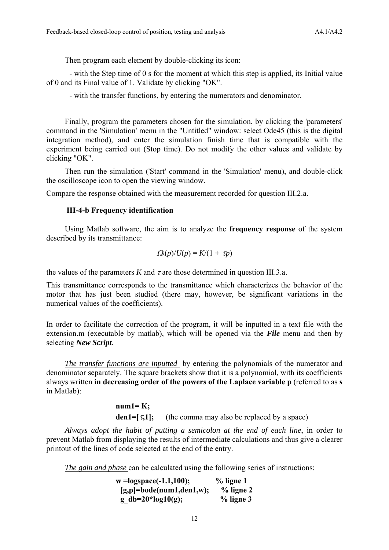Then program each element by double-clicking its icon:

 - with the Step time of 0 s for the moment at which this step is applied, its Initial value of 0 and its Final value of 1. Validate by clicking "OK".

- with the transfer functions, by entering the numerators and denominator.

Finally, program the parameters chosen for the simulation, by clicking the 'parameters' command in the 'Simulation' menu in the "Untitled" window: select Ode45 (this is the digital integration method), and enter the simulation finish time that is compatible with the experiment being carried out (Stop time). Do not modify the other values and validate by clicking "OK".

Then run the simulation ('Start' command in the 'Simulation' menu), and double-click the oscilloscope icon to open the viewing window.

Compare the response obtained with the measurement recorded for question III.2.a.

## **III-4-b Frequency identification**

Using Matlab software, the aim is to analyze the **frequency response** of the system described by its transmittance:

$$
\Omega_{\rm s}(p)/U(p) = K/(1+\tau p)
$$

the values of the parameters *K* and  $\tau$  are those determined in question III.3.a.

This transmittance corresponds to the transmittance which characterizes the behavior of the motor that has just been studied (there may, however, be significant variations in the numerical values of the coefficients).

In order to facilitate the correction of the program, it will be inputted in a text file with the extension.m (executable by matlab), which will be opened via the *File* menu and then by selecting *New Script*.

*The transfer functions are inputted* by entering the polynomials of the numerator and denominator separately. The square brackets show that it is a polynomial, with its coefficients always written **in decreasing order of the powers of the Laplace variable p** (referred to as **s** in Matlab):

> $num1=K$ : **den1=[** $\tau$ **,1];** (the comma may also be replaced by a space)

*Always adopt the habit of putting a semicolon at the end of each line*, in order to prevent Matlab from displaying the results of intermediate calculations and thus give a clearer printout of the lines of code selected at the end of the entry.

*The gain and phase* can be calculated using the following series of instructions:

| $w = logspace(-1.1, 100);$ | $%$ ligne 1  |
|----------------------------|--------------|
| $[g,p]=bode(num1,den1,w);$ | $\%$ ligne 2 |
| g db=20*log10(g);          | $%$ ligne 3  |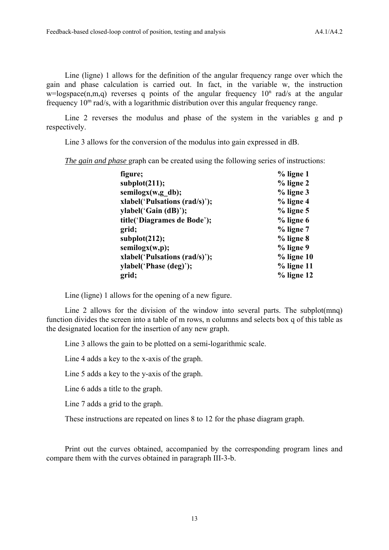Line (ligne) 1 allows for the definition of the angular frequency range over which the gain and phase calculation is carried out. In fact, in the variable w, the instruction  $w = logspace(n,m,q)$  reverses q points of the angular frequency  $10<sup>n</sup>$  rad/s at the angular frequency 10m rad/s, with a logarithmic distribution over this angular frequency range.

Line 2 reverses the modulus and phase of the system in the variables g and p respectively.

Line 3 allows for the conversion of the modulus into gain expressed in dB.

*The gain and phase* graph can be created using the following series of instructions:

| figure;                       | $%$ ligne 1   |
|-------------------------------|---------------|
| subplot(211);                 | $%$ ligne 2   |
| semilogx(w,g db);             | $%$ ligne 3   |
| xlabel('Pulsations (rad/s)'); | $%$ ligne 4   |
| ylabel('Gain (dB)');          | $%$ ligne 5   |
| title('Diagrames de Bode');   | $%$ ligne 6   |
| grid;                         | $%$ ligne $7$ |
| subplot(212);                 | % ligne 8     |
| semilogx(w,p);                | % ligne 9     |
| xlabel('Pulsations (rad/s)'); | $%$ ligne 10  |
| ylabel('Phase (deg)');        | $%$ ligne 11  |
| grid;                         | $%$ ligne 12  |

Line (ligne) 1 allows for the opening of a new figure.

Line 2 allows for the division of the window into several parts. The subplot(mnq) function divides the screen into a table of m rows, n columns and selects box q of this table as the designated location for the insertion of any new graph.

Line 3 allows the gain to be plotted on a semi-logarithmic scale.

Line 4 adds a key to the x-axis of the graph.

Line 5 adds a key to the y-axis of the graph.

Line 6 adds a title to the graph.

Line 7 adds a grid to the graph.

These instructions are repeated on lines 8 to 12 for the phase diagram graph.

Print out the curves obtained, accompanied by the corresponding program lines and compare them with the curves obtained in paragraph III-3-b.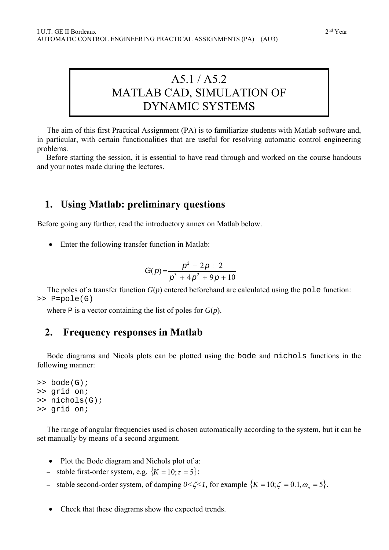## A5.1 / A5.2 MATLAB CAD, SIMULATION OF DYNAMIC SYSTEMS

The aim of this first Practical Assignment (PA) is to familiarize students with Matlab software and, in particular, with certain functionalities that are useful for resolving automatic control engineering problems.

Before starting the session, it is essential to have read through and worked on the course handouts and your notes made during the lectures.

## **1. Using Matlab: preliminary questions**

Before going any further, read the introductory annex on Matlab below.

Enter the following transfer function in Matlab:

$$
G(p) = \frac{p^2 - 2p + 2}{p^3 + 4p^2 + 9p + 10}
$$

The poles of a transfer function  $G(p)$  entered beforehand are calculated using the pole function: >> P=pole(G)

where P is a vector containing the list of poles for *G*(*p*).

## **2. Frequency responses in Matlab**

Bode diagrams and Nicols plots can be plotted using the bode and nichols functions in the following manner:

```
>> bode(G); 
>> grid on; 
>> nichols(G); 
>> grid on;
```
The range of angular frequencies used is chosen automatically according to the system, but it can be set manually by means of a second argument.

- Plot the Bode diagram and Nichols plot of a:
- stable first-order system, e.g.  ${K = 10; \tau = 5};$
- stable second-order system, of damping  $0 < \zeta < 1$ , for example  $\{K = 10; \zeta = 0.1, \omega_n = 5\}$ .
- Check that these diagrams show the expected trends.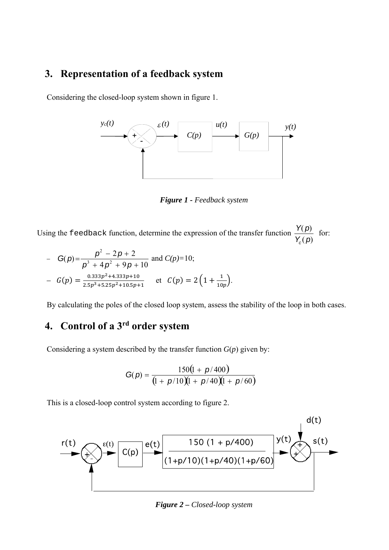## **3. Representation of a feedback system**

Considering the closed-loop system shown in figure 1.



*Figure 1 - Feedback system* 

Using the feedback function, determine the expression of the transfer function  $(p)$  $^\prime\hspace{-0.1cm}(p)$ *Y p Y p c* for:

- 
$$
G(p) = \frac{p^2 - 2p + 2}{p^3 + 4p^2 + 9p + 10}
$$
 and  $C(p)=10$ ;  
\n-  $G(p) = \frac{0.333p^2 + 4.333p + 10}{2.5p^3 + 5.25p^2 + 10.5p + 1}$  et  $C(p) = 2(1 + \frac{1}{10p}).$ 

By calculating the poles of the closed loop system, assess the stability of the loop in both cases.

## **4. Control of a 3rd order system**

Considering a system described by the transfer function  $G(p)$  given by:

$$
G(p) = \frac{150(1 + p/400)}{(1 + p/10)(1 + p/40)(1 + p/60)}
$$

This is a closed-loop control system according to figure 2.



*Figure 2 – Closed-loop system*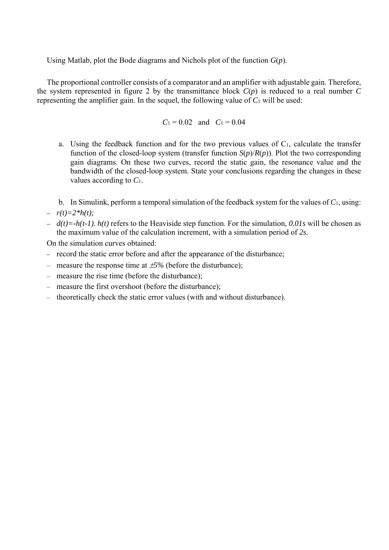Using Matlab, plot the Bode diagrams and Nichols plot of the function *G*(*p*).

The proportional controller consists of a comparator and an amplifier with adjustable gain. Therefore, the system represented in figure 2 by the transmittance block  $C(p)$  is reduced to a real number  $C$ representing the amplifier gain. In the sequel, the following value of *C*1 will be used:

$$
C_1 = 0.02
$$
 and  $C_1 = 0.04$ 

- a. Using the feedback function and for the two previous values of  $C_1$ , calculate the transfer function of the closed-loop system (transfer function  $S(p)/R(p)$ ). Plot the two corresponding gain diagrams. On these two curves, record the static gain, the resonance value and the bandwidth of the closed-loop system. State your conclusions regarding the changes in these values according to *C*1.
- b. In Simulink, perform a temporal simulation of the feedback system for the values of *C*1, using:
- $r(t)=2*h(t);$
- *d(t)=-h(t-1). h(t)* refers to the Heaviside step function. For the simulation, *0.01s* will be chosen as the maximum value of the calculation increment, with a simulation period of *2s.*

On the simulation curves obtained:

- *–* record the static error before and after the appearance of the disturbance;
- measure the response time at *5%* (before the disturbance);
- measure the rise time (before the disturbance);
- measure the first overshoot (before the disturbance);
- theoretically check the static error values (with and without disturbance).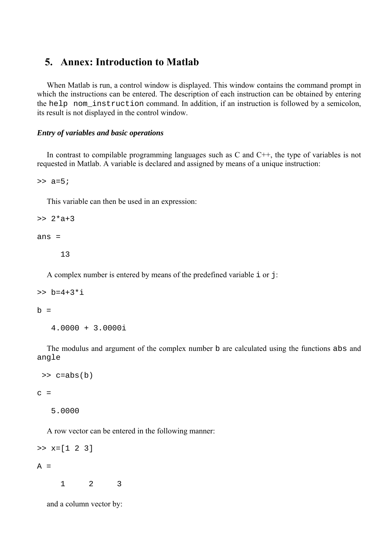## **5. Annex: Introduction to Matlab**

When Matlab is run, a control window is displayed. This window contains the command prompt in which the instructions can be entered. The description of each instruction can be obtained by entering the help nom\_instruction command. In addition, if an instruction is followed by a semicolon, its result is not displayed in the control window.

## *Entry of variables and basic operations*

In contrast to compilable programming languages such as  $C$  and  $C_{++}$ , the type of variables is not requested in Matlab. A variable is declared and assigned by means of a unique instruction:

 $>> a=5;$ 

This variable can then be used in an expression:

 $>> 2*a+3$ 

ans =

13

A complex number is entered by means of the predefined variable i or j:

```
>> b=4+3* i
```
 $b =$ 

4.0000 + 3.0000i

The modulus and argument of the complex number b are calculated using the functions abs and angle

```
\Rightarrow c=abs(b)
```
 $c =$ 

5.0000

A row vector can be entered in the following manner:

```
>> x=[1 2 3]A = 1 2 3
```
and a column vector by: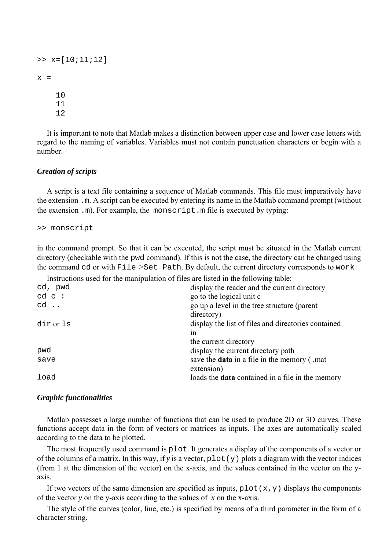```
>> x=[10;11;12]x = 10 
      11 
      12
```
It is important to note that Matlab makes a distinction between upper case and lower case letters with regard to the naming of variables. Variables must not contain punctuation characters or begin with a number.

## *Creation of scripts*

A script is a text file containing a sequence of Matlab commands. This file must imperatively have the extension .m. A script can be executed by entering its name in the Matlab command prompt (without the extension .m). For example, the monscript.m file is executed by typing:

```
>> monscript
```
in the command prompt. So that it can be executed, the script must be situated in the Matlab current directory (checkable with the pwd command). If this is not the case, the directory can be changed using the command cd or with File–>Set Path. By default, the current directory corresponds to work

Instructions used for the manipulation of files are listed in the following table:

| cd, pwd     | display the reader and the current directory                    |
|-------------|-----------------------------------------------------------------|
| $cd$ $c$ :  | go to the logical unit c                                        |
| $cd \ldots$ | go up a level in the tree structure (parent<br>directory)       |
| dir or 1s   | display the list of files and directories contained<br>1n       |
|             | the current directory                                           |
| pwd         | display the current directory path                              |
| save        | save the <b>data</b> in a file in the memory (mat<br>extension) |
| load        | loads the <b>data</b> contained in a file in the memory         |

### *Graphic functionalities*

Matlab possesses a large number of functions that can be used to produce 2D or 3D curves. These functions accept data in the form of vectors or matrices as inputs. The axes are automatically scaled according to the data to be plotted.

The most frequently used command is plot. It generates a display of the components of a vector or of the columns of a matrix. In this way, if y is a vector,  $plot(y)$  plots a diagram with the vector indices (from 1 at the dimension of the vector) on the x-axis, and the values contained in the vector on the yaxis.

If two vectors of the same dimension are specified as inputs,  $plot(x,y)$  displays the components of the vector *y* on the y-axis according to the values of *x* on the x-axis.

The style of the curves (color, line, etc.) is specified by means of a third parameter in the form of a character string.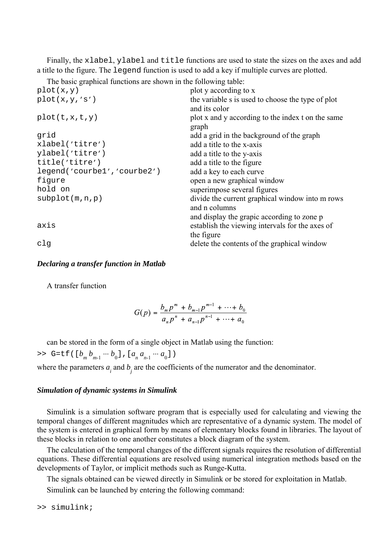Finally, the xlabel, ylabel and title functions are used to state the sizes on the axes and add a title to the figure. The legend function is used to add a key if multiple curves are plotted.

The basic graphical functions are shown in the following table:

| plot y according to x                                              |
|--------------------------------------------------------------------|
| the variable s is used to choose the type of plot<br>and its color |
| plot x and y according to the index t on the same<br>graph         |
| add a grid in the background of the graph                          |
| add a title to the x-axis                                          |
| add a title to the y-axis                                          |
| add a title to the figure                                          |
| add a key to each curve                                            |
| open a new graphical window                                        |
| superimpose several figures                                        |
| divide the current graphical window into m rows<br>and n columns   |
| and display the grapic according to zone p                         |
| establish the viewing intervals for the axes of                    |
| the figure                                                         |
| delete the contents of the graphical window                        |
|                                                                    |

## *Declaring a transfer function in Matlab*

A transfer function

$$
G(p) = \frac{b_m p^m + b_{m-1} p^{m-1} + \dots + b_0}{a_n p^n + a_{n-1} p^{n-1} + \dots + a_0}
$$

can be stored in the form of a single object in Matlab using the function:

>> G=tf([ $b_m b_{m-1} \cdots b_0$ ], [ $a_n a_{n-1} \cdots a_0$ ])

where the parameters  $a_i$  and  $b_j$  are the coefficients of the numerator and the denominator.

### *Simulation of dynamic systems in Simulink*

Simulink is a simulation software program that is especially used for calculating and viewing the temporal changes of different magnitudes which are representative of a dynamic system. The model of the system is entered in graphical form by means of elementary blocks found in libraries. The layout of these blocks in relation to one another constitutes a block diagram of the system.

The calculation of the temporal changes of the different signals requires the resolution of differential equations. These differential equations are resolved using numerical integration methods based on the developments of Taylor, or implicit methods such as Runge-Kutta.

The signals obtained can be viewed directly in Simulink or be stored for exploitation in Matlab.

Simulink can be launched by entering the following command:

>> simulink;